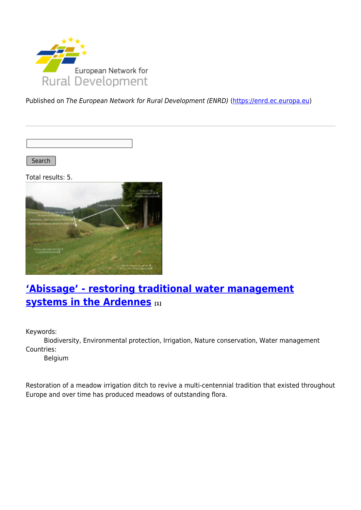

Published on The European Network for Rural Development (ENRD) [\(https://enrd.ec.europa.eu](https://enrd.ec.europa.eu))

Search |

Total results: 5.



## **['Abissage' - restoring traditional water management](https://enrd.ec.europa.eu/projects-practice/abissage-restoring-traditional-water-management-systems-ardennes_en) [systems in the Ardennes](https://enrd.ec.europa.eu/projects-practice/abissage-restoring-traditional-water-management-systems-ardennes_en) [1]**

Keywords:

Biodiversity, Environmental protection, Irrigation, Nature conservation, Water management Countries:

Belgium

Restoration of a meadow irrigation ditch to revive a multi-centennial tradition that existed throughout Europe and over time has produced meadows of outstanding flora.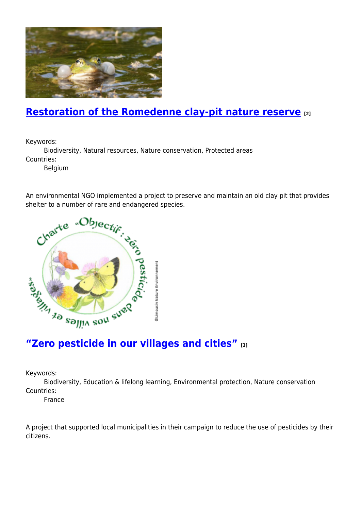

## **[Restoration of the Romedenne clay-pit nature reserve](https://enrd.ec.europa.eu/projects-practice/restoration-romedenne-clay-pit-nature-reserve_en) [2]**

Keywords:

Biodiversity, Natural resources, Nature conservation, Protected areas Countries:

Belgium

An environmental NGO implemented a project to preserve and maintain an old clay pit that provides



Keywords:

Biodiversity, Education & lifelong learning, Environmental protection, Nature conservation Countries:

France

A project that supported local municipalities in their campaign to reduce the use of pesticides by their citizens.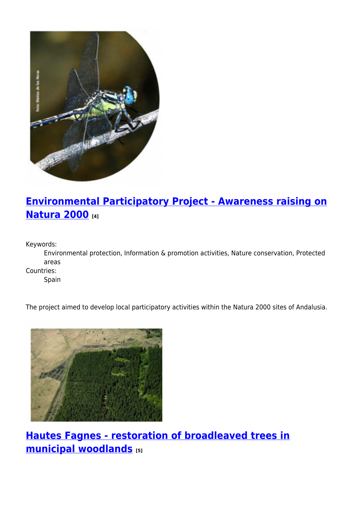

# **[Environmental Participatory Project - Awareness raising on](https://enrd.ec.europa.eu/projects-practice/environmental-participatory-project-awareness-raising-natura-2000_en) [Natura 2000](https://enrd.ec.europa.eu/projects-practice/environmental-participatory-project-awareness-raising-natura-2000_en) [4]**

Keywords:

Environmental protection, Information & promotion activities, Nature conservation, Protected areas

Countries:

Spain

The project aimed to develop local participatory activities within the Natura 2000 sites of Andalusia.



**[Hautes Fagnes - restoration of broadleaved trees in](https://enrd.ec.europa.eu/projects-practice/hautes-fagnes-restoration-broadleaved-trees-municipal-woodlands_en) [municipal woodlands](https://enrd.ec.europa.eu/projects-practice/hautes-fagnes-restoration-broadleaved-trees-municipal-woodlands_en) [5]**